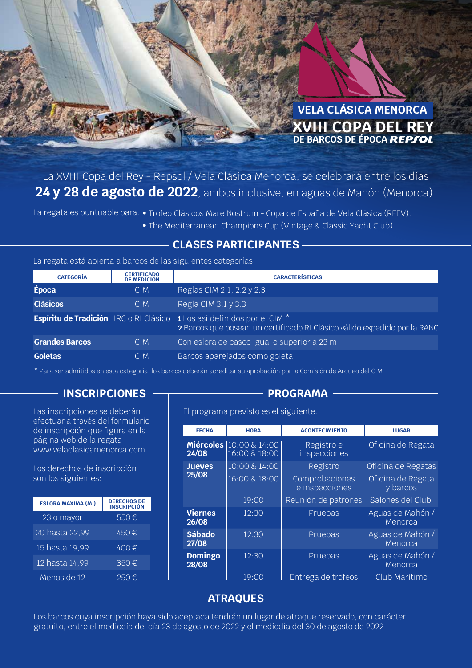

La XVIII Copa del Rey - Repsol / Vela Clásica Menorca, se celebrará entre los días **24 y 28 de agosto de 2022**, ambos inclusive, en aguas de Mahón (Menorca).

La regata es puntuable para: • Trofeo Clásicos Mare Nostrum - Copa de España de Vela Clásica (RFEV).

• The Mediterranean Champions Cup (Vintage & Classic Yacht Club)

#### **CLASES PARTICIPANTES**

#### La regata está abierta a barcos de las siguientes categorías:

| <b>CATEGORÍA</b>      | <b>CERTIFICADO</b><br><b>DE MEDICIÓN</b> | <b>CARACTERÍSTICAS</b>                                                                                                                                                      |
|-----------------------|------------------------------------------|-----------------------------------------------------------------------------------------------------------------------------------------------------------------------------|
| Época                 | <b>CIM</b>                               | Reglas CIM 2.1, 2.2 y 2.3                                                                                                                                                   |
| <b>Clásicos</b>       | <b>CIM</b>                               | Regla CIM $3.1$ y $3.3$                                                                                                                                                     |
|                       |                                          | <b>Espíritu de Tradición</b>   IRC o RI Clásico   1 Los así definidos por el CIM <sup>*</sup><br>2 Barcos que posean un certificado RI Clásico válido expedido por la RANC. |
| <b>Grandes Barcos</b> | <b>CIM</b>                               | Con eslora de casco igual o superior a 23 m                                                                                                                                 |
| <b>Goletas</b>        | <b>CIM</b>                               | Barcos aparejados como goleta                                                                                                                                               |

\* Para ser admitidos en esta categoría, los barcos deberán acreditar su aprobación por la Comisión de Arqueo del CIM

### **INSCRIPCIONES** — **PROGRAMA**

Las inscripciones se deberán efectuar a través del formulario de inscripción que figura en la página web de la regata www.velaclasicamenorca.com

Los derechos de inscripción son los siguientes:

| <b>ESLORA MÁXIMA (M.)</b> | <b>DERECHOS DE</b><br><b>INSCRIPCIÓN</b> |
|---------------------------|------------------------------------------|
| $\overline{23}$ o mayor   | 550€                                     |
| 20 hasta 22,99            | 450€                                     |
| 15 hasta 19,99            | 400€                                     |
| 12 hasta 14,99            | 350€                                     |
| Menos de 12               | 250€                                     |

El programa previsto es el siguiente:

| <b>FECHA</b>              | <b>HORA</b>                    | <b>ACONTECIMIENTO</b>            | <b>LUGAR</b>                  |
|---------------------------|--------------------------------|----------------------------------|-------------------------------|
| <b>Miércoles</b><br>24/08 | 10:00 & 14:00<br>16:00 & 18:00 | Registro e<br>inspecciones       | Oficina de Regata             |
| <b>Jueves</b>             | 10:00 & 14:00                  | Registro                         | Oficina de Regatas            |
| 25/08                     | 16:00 & 18:00                  | Comprobaciones<br>e inspecciones | Oficina de Regata<br>y barcos |
|                           | 19:00                          | Reunión de patrones              | Salones del Club              |
| <b>Viernes</b><br>26/08   | 12:30                          | Pruebas                          | Aguas de Mahón /<br>Menorca   |
| <b>Sábado</b><br>27/08    | 12:30                          | Pruebas                          | Aguas de Mahón /<br>Menorca   |
| <b>Domingo</b><br>28/08   | 12:30                          | Pruebas                          | Aguas de Mahón /<br>Menorca   |
|                           | 19:00                          | Entrega de trofeos               | Club Marítimo                 |

### **ATRAQUES**

Los barcos cuya inscripción haya sido aceptada tendrán un lugar de atraque reservado, con carácter gratuito, entre el mediodía del día 23 de agosto de 2022 y el mediodía del 30 de agosto de 2022